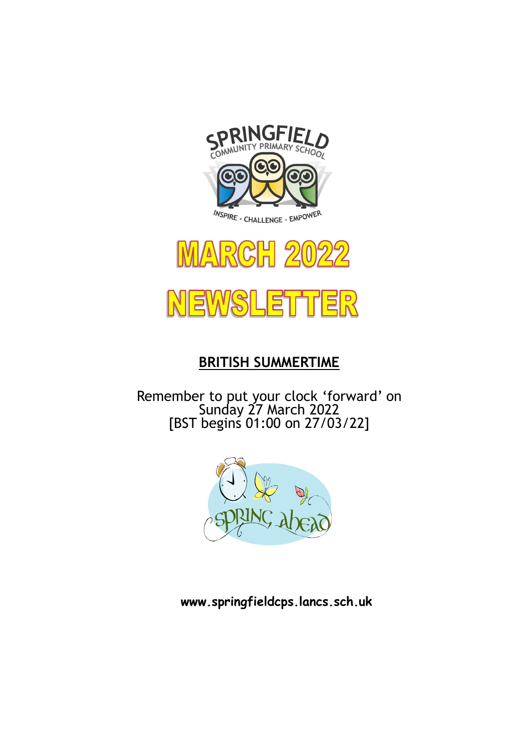





# **BRITISH SUMMERTIME**

Remember to put your clock 'forward' on Sunday 27 March 2022 [BST begins 01:00 on 27/03/22]



**www.springfieldcps.lancs.sch.uk**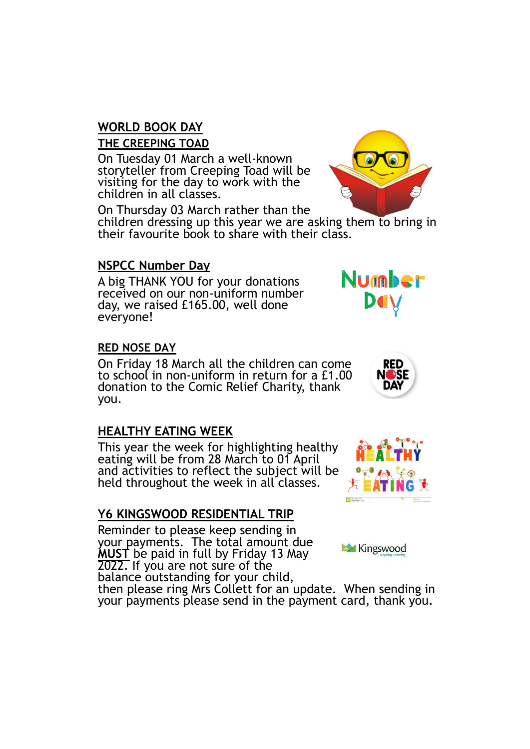# **WORLD BOOK DAY**

#### **THE CREEPING TOAD**

On Tuesday 01 March a well-known storyteller from Creeping Toad will be visiting for the day to work with the children in all classes.

On Thursday 03 March rather than the

children dressing up this year we are asking them to bring in their favourite book to share with their class.

#### **NSPCC Number Day**

A big THANK YOU for your donations received on our non-uniform number day, we raised £165.00, well done everyone!

#### **RED NOSE DAY**

On Friday 18 March all the children can come to school in non-uniform in return for a £1.00 donation to the Comic Relief Charity, thank you.

## **HEALTHY EATING WEEK**

This year the week for highlighting healthy eating will be from 28 March to 01 April and activities to reflect the subject will be held throughout the week in all classes.

## **Y6 KINGSWOOD RESIDENTIAL TRIP**

Reminder to please keep sending in your payments. The total amount due **MUST** be paid in full by Friday 13 May 2022. If you are not sure of the balance outstanding for your child,

then please ring Mrs Collett for an update. When sending in your payments please send in the payment card, thank you.





Kingswood



Number

DUV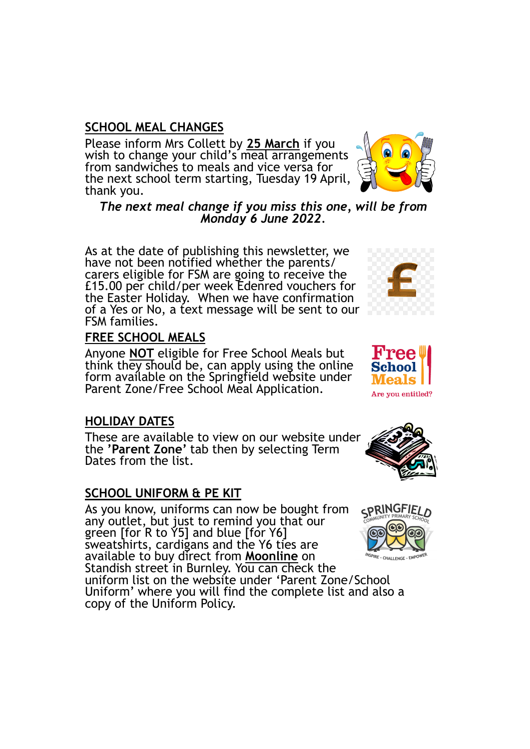#### **SCHOOL MEAL CHANGES**

Please inform Mrs Collett by **25 March** if you wish to change your child's meal arrangements from sandwiches to meals and vice versa for the next school term starting, Tuesday 19 April, thank you.

*The next meal change if you miss this one, will be from Monday 6 June 2022.*

As at the date of publishing this newsletter, we have not been notified whether the parents/ carers eligible for FSM are going to receive the £15.00 per child/per week Edenred vouchers for the Easter Holiday. When we have confirmation of a Yes or No, a text message will be sent to our FSM families.

#### **FREE SCHOOL MEALS**

Anyone **NOT** eligible for Free School Meals but think they should be, can apply using the online form available on the Springfield website under Parent Zone/Free School Meal Application.

#### **HOLIDAY DATES**

These are available to view on our website under the **'Parent Zone'** tab then by selecting Term Dates from the list.

#### **SCHOOL UNIFORM & PE KIT**

As you know, uniforms can now be bought from any outlet, but just to remind you that our green [for R to Y5] and blue [for Y6] sweatshirts, cardigans and the Y6 ties are available to buy direct from **Moonline** on Standish street in Burnley. You can check the uniform list on the website under 'Parent Zone/School Uniform' where you will find the complete list and also a copy of the Uniform Policy.